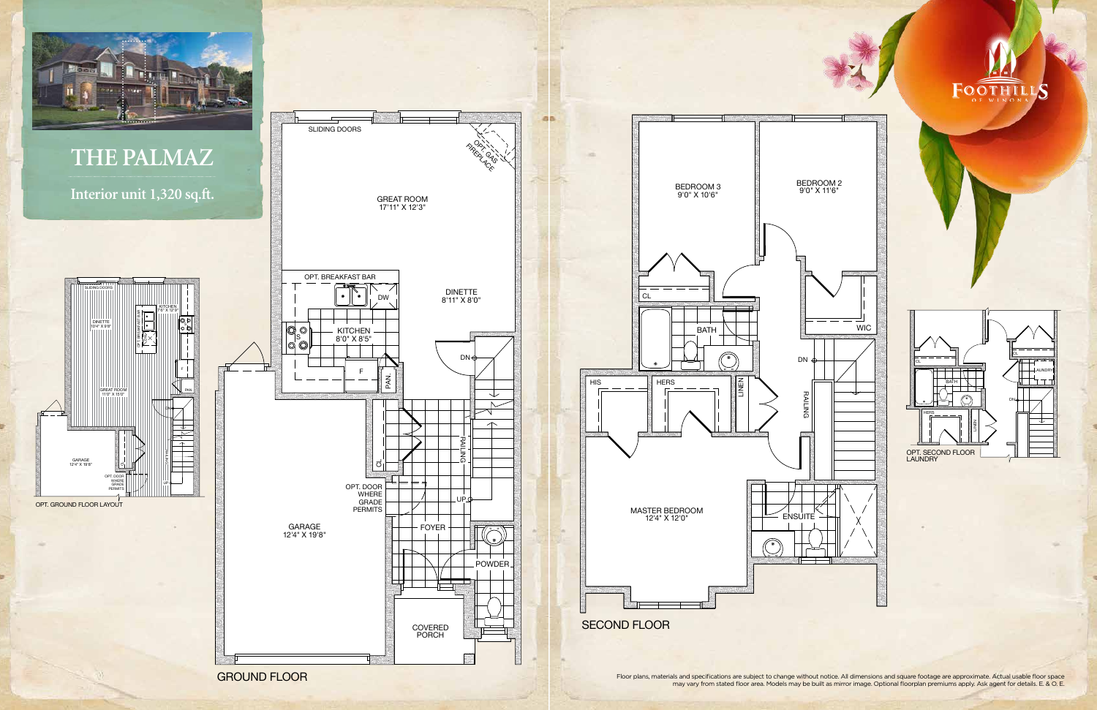GROUND FLOOR





Floor plans, materials and specifications are subject to change without notice. All dimensions and square footage are approximate. Actual usable floor space may vary from stated floor area. Models may be built as mirror image. Optional floorplan premiums apply. Ask agent for details. E. & O. E.

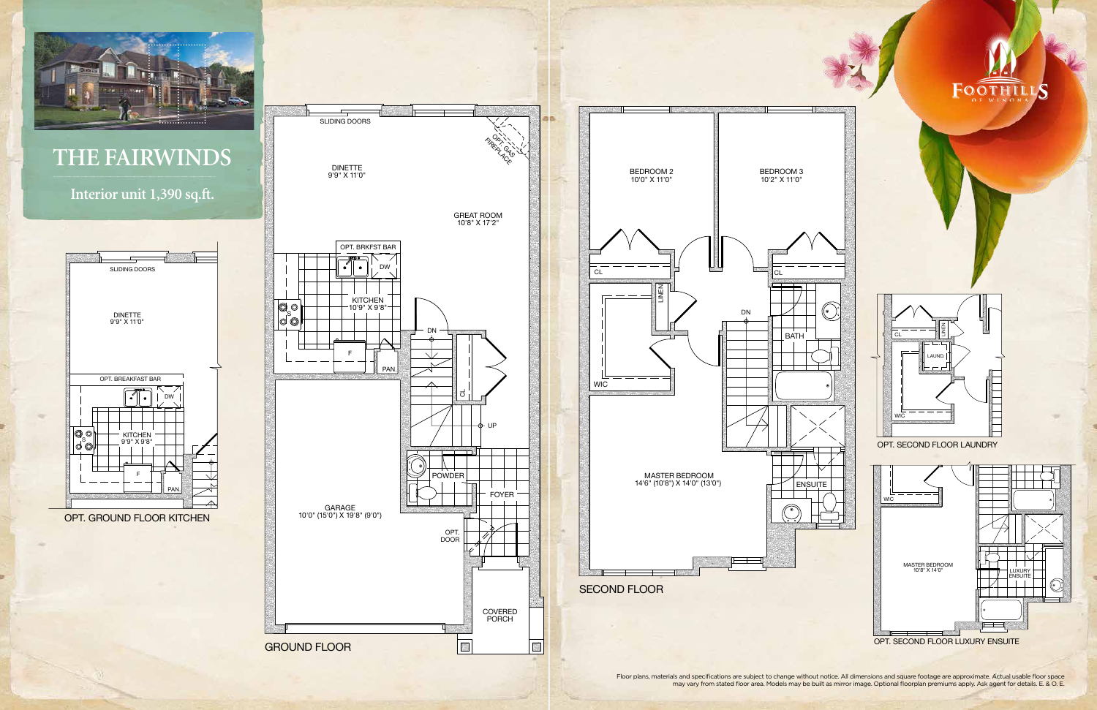

DINETTE STATE STATE STATE STATE STATE STATE STATE STATE STATE STATE STATE STATE STATE STATE STATE STATE STATE S 9'9" X 11'0"

S

F

**WIE** 



DN

Floor plans, materials and specifications are subject to change without notice. All dimensions and square footage are approximate. Actual usable floor space may vary from stated floor area. Models may be built as mirror image. Optional floorplan premiums apply. Ask agent for details. E. & O. E.



**THE FAIRWINDS**

**Interior unit 1,390 sq.ft.**